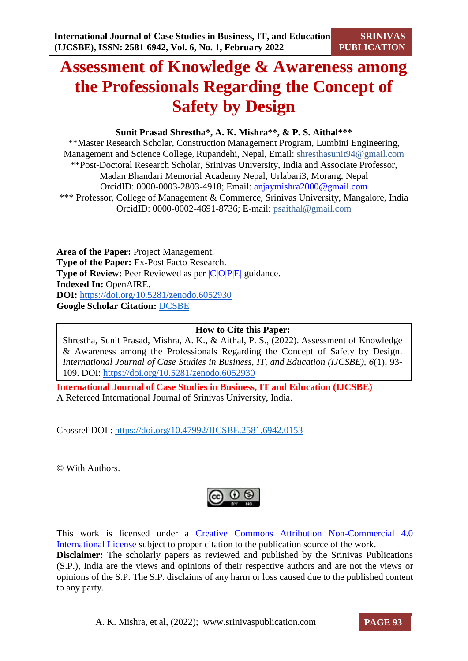# **Assessment of Knowledge & Awareness among the Professionals Regarding the Concept of Safety by Design**

# **Sunit Prasad Shrestha\*, A. K. Mishra\*\*, & P. S. Aithal\*\*\***

\*\*Master Research Scholar, Construction Management Program, Lumbini Engineering, Management and Science College, Rupandehi, Nepal, Email: shresthasunit94@gmail.com \*\*Post-Doctoral Research Scholar, Srinivas University, India and Associate Professor, Madan Bhandari Memorial Academy Nepal, Urlabari3, Morang, Nepal OrcidID: 0000-0003-2803-4918; Email: [anjaymishra2000@gmail.com](mailto:anjaymishra2000@gmail.com) \*\*\* Professor, College of Management & Commerce, Srinivas University, Mangalore, India OrcidID: 0000-0002-4691-8736; E-mail: psaithal@gmail.com

**Area of the Paper:** Project Management. **Type of the Paper:** Ex-Post Facto Research. **Type of Review:** Peer Reviewed as per  $|C|O||P|E|$  guidance. **Indexed In:** OpenAIRE. **DOI:** <https://doi.org/10.5281/zenodo.6052930> **Google Scholar Citation:** [IJCSBE](https://scholar.google.com/citations?user=yGYPA1MAAAAJ)

#### **How to Cite this Paper:**

Shrestha, Sunit Prasad, Mishra, A. K., & Aithal, P. S., (2022). Assessment of Knowledge & Awareness among the Professionals Regarding the Concept of Safety by Design. *International Journal of Case Studies in Business, IT, and Education (IJCSBE), 6*(1), 93- 109. DOI:<https://doi.org/10.5281/zenodo.6052930>

**International Journal of Case Studies in Business, IT and Education (IJCSBE)** A Refereed International Journal of Srinivas University, India.

Crossref DOI : [https://doi.org/10.47992/IJCSBE.2581.6942.0153](https://search.crossref.org/?q=10.47992%2FIJCSBE.2581.6942.0153&from_ui=yes)

© With Authors.



This work is licensed under a Creative Commons Attribution Non-Commercial 4.0 International License subject to proper citation to the publication source of the work. **Disclaimer:** The scholarly papers as reviewed and published by the Srinivas Publications (S.P.), India are the views and opinions of their respective authors and are not the views or opinions of the S.P. The S.P. disclaims of any harm or loss caused due to the published content to any party.

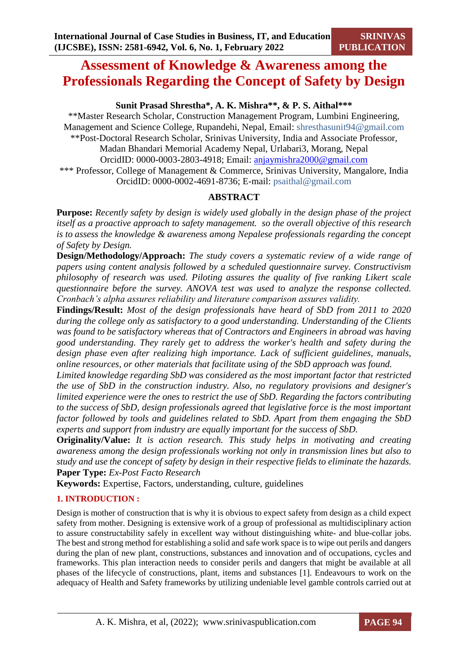# **Assessment of Knowledge & Awareness among the Professionals Regarding the Concept of Safety by Design**

# **Sunit Prasad Shrestha\*, A. K. Mishra\*\*, & P. S. Aithal\*\*\***

\*\*Master Research Scholar, Construction Management Program, Lumbini Engineering, Management and Science College, Rupandehi, Nepal, Email: shresthasunit94@gmail.com \*\*Post-Doctoral Research Scholar, Srinivas University, India and Associate Professor, Madan Bhandari Memorial Academy Nepal, Urlabari3, Morang, Nepal OrcidID: 0000-0003-2803-4918; Email: [anjaymishra2000@gmail.com](mailto:anjaymishra2000@gmail.com) \*\*\* Professor, College of Management & Commerce, Srinivas University, Mangalore, India OrcidID: 0000-0002-4691-8736; E-mail: psaithal@gmail.com

# **ABSTRACT**

**Purpose:** *Recently safety by design is widely used globally in the design phase of the project itself as a proactive approach to safety management. so the overall objective of this research is to assess the knowledge & awareness among Nepalese professionals regarding the concept of Safety by Design.* 

**Design/Methodology/Approach:** *The study covers a systematic review of a wide range of papers using content analysis followed by a scheduled questionnaire survey. Constructivism philosophy of research was used. Piloting assures the quality of five ranking Likert scale questionnaire before the survey. ANOVA test was used to analyze the response collected. Cronbach's alpha assures reliability and literature comparison assures validity.*

**Findings/Result:** *Most of the design professionals have heard of SbD from 2011 to 2020 during the college only as satisfactory to a good understanding. Understanding of the Clients was found to be satisfactory whereas that of Contractors and Engineers in abroad was having good understanding. They rarely get to address the worker's health and safety during the design phase even after realizing high importance. Lack of sufficient guidelines, manuals, online resources, or other materials that facilitate using of the SbD approach was found.*

*Limited knowledge regarding SbD was considered as the most important factor that restricted the use of SbD in the construction industry. Also, no regulatory provisions and designer's limited experience were the ones to restrict the use of SbD. Regarding the factors contributing to the success of SbD, design professionals agreed that legislative force is the most important factor followed by tools and guidelines related to SbD. Apart from them engaging the SbD experts and support from industry are equally important for the success of SbD.* 

**Originality/Value:** *It is action research. This study helps in motivating and creating awareness among the design professionals working not only in transmission lines but also to study and use the concept of safety by design in their respective fields to eliminate the hazards.* **Paper Type:** *Ex-Post Facto Research*

**Keywords:** Expertise, Factors, understanding, culture, guidelines

# **1. INTRODUCTION :**

Design is mother of construction that is why it is obvious to expect safety from design as a child expect safety from mother. Designing is extensive work of a group of professional as multidisciplinary action to assure constructability safely in excellent way without distinguishing white- and blue-collar jobs. The best and strong method for establishing a solid and safe work space is to wipe out perils and dangers during the plan of new plant, constructions, substances and innovation and of occupations, cycles and frameworks. This plan interaction needs to consider perils and dangers that might be available at all phases of the lifecycle of constructions, plant, items and substances [1]. Endeavours to work on the adequacy of Health and Safety frameworks by utilizing undeniable level gamble controls carried out at

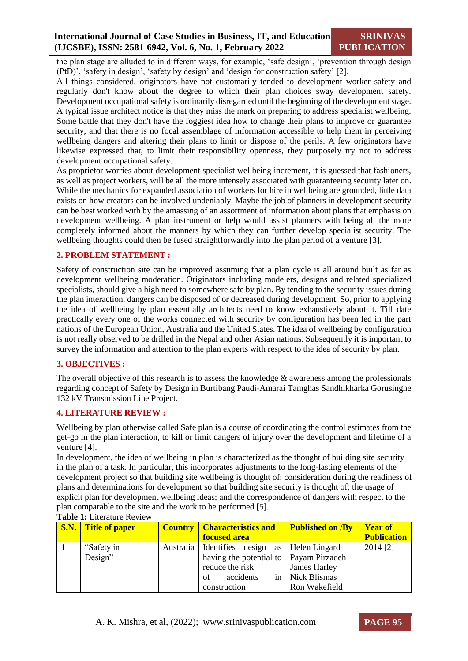the plan stage are alluded to in different ways, for example, 'safe design', 'prevention through design (PtD)', 'safety in design', 'safety by design' and 'design for construction safety' [2].

All things considered, originators have not customarily tended to development worker safety and regularly don't know about the degree to which their plan choices sway development safety. Development occupational safety is ordinarily disregarded until the beginning of the development stage. A typical issue architect notice is that they miss the mark on preparing to address specialist wellbeing. Some battle that they don't have the foggiest idea how to change their plans to improve or guarantee security, and that there is no focal assemblage of information accessible to help them in perceiving wellbeing dangers and altering their plans to limit or dispose of the perils. A few originators have likewise expressed that, to limit their responsibility openness, they purposely try not to address development occupational safety.

As proprietor worries about development specialist wellbeing increment, it is guessed that fashioners, as well as project workers, will be all the more intensely associated with guaranteeing security later on. While the mechanics for expanded association of workers for hire in wellbeing are grounded, little data exists on how creators can be involved undeniably. Maybe the job of planners in development security can be best worked with by the amassing of an assortment of information about plans that emphasis on development wellbeing. A plan instrument or help would assist planners with being all the more completely informed about the manners by which they can further develop specialist security. The wellbeing thoughts could then be fused straightforwardly into the plan period of a venture [3].

# **2. PROBLEM STATEMENT :**

Safety of construction site can be improved assuming that a plan cycle is all around built as far as development wellbeing moderation. Originators including modelers, designs and related specialized specialists, should give a high need to somewhere safe by plan. By tending to the security issues during the plan interaction, dangers can be disposed of or decreased during development. So, prior to applying the idea of wellbeing by plan essentially architects need to know exhaustively about it. Till date practically every one of the works connected with security by configuration has been led in the part nations of the European Union, Australia and the United States. The idea of wellbeing by configuration is not really observed to be drilled in the Nepal and other Asian nations. Subsequently it is important to survey the information and attention to the plan experts with respect to the idea of security by plan.

#### **3. OBJECTIVES :**

The overall objective of this research is to assess the knowledge  $\&$  awareness among the professionals regarding concept of Safety by Design in Burtibang Paudi-Amarai Tamghas Sandhikharka Gorusinghe 132 kV Transmission Line Project.

# **4. LITERATURE REVIEW :**

Wellbeing by plan otherwise called Safe plan is a course of coordinating the control estimates from the get-go in the plan interaction, to kill or limit dangers of injury over the development and lifetime of a venture [4].

In development, the idea of wellbeing in plan is characterized as the thought of building site security in the plan of a task. In particular, this incorporates adjustments to the long-lasting elements of the development project so that building site wellbeing is thought of; consideration during the readiness of plans and determinations for development so that building site security is thought of; the usage of explicit plan for development wellbeing ideas; and the correspondence of dangers with respect to the plan comparable to the site and the work to be performed [5].

| <b>S.N.</b> Title of paper | <b>Country   Characteristics and</b>             | <b>Published on /By</b> | <b>Year of</b>     |
|----------------------------|--------------------------------------------------|-------------------------|--------------------|
|                            | <b>focused area</b>                              |                         | <b>Publication</b> |
| "Safety in                 | Australia   Identifies design as   Helen Lingard |                         | 2014 [2]           |
| Design"                    | having the potential to   Payam Pirzadeh         |                         |                    |
|                            | reduce the risk                                  | James Harley            |                    |
|                            | accidents<br>in<br>of                            | Nick Blismas            |                    |
|                            | construction                                     | Ron Wakefield           |                    |

#### **Table 1:** Literature Review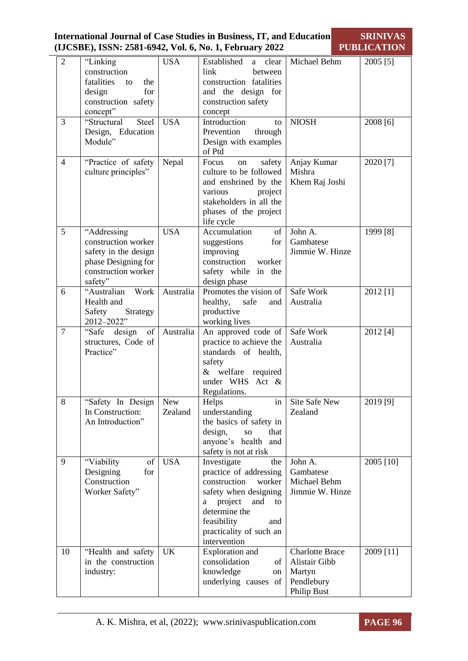|                |                                                                                                                     |                       | <b>International Journal of Case Studies in Business, IT, and Education</b><br>(IJCSBE), ISSN: 2581-6942, Vol. 6, No. 1, February 2022                                                                         |                                                                                | <b>SRINIVAS</b><br><b>PUBLICATION</b> |
|----------------|---------------------------------------------------------------------------------------------------------------------|-----------------------|----------------------------------------------------------------------------------------------------------------------------------------------------------------------------------------------------------------|--------------------------------------------------------------------------------|---------------------------------------|
| $\overline{2}$ | "Linking<br>construction<br>fatalities<br>the<br>to<br>for<br>design<br>construction safety<br>concept"             | <b>USA</b>            | Established<br>clear<br>a<br>link<br>between<br>construction fatalities<br>and the design for<br>construction safety<br>concept                                                                                | Michael Behm                                                                   | 2005 [5]                              |
| 3              | "Structural<br>Steel<br>Design, Education<br>Module"                                                                | <b>USA</b>            | Introduction<br>to<br>through<br>Prevention<br>Design with examples<br>of Ptd                                                                                                                                  | <b>NIOSH</b>                                                                   | 2008 [6]                              |
| $\overline{4}$ | "Practice of safety<br>culture principles"                                                                          | Nepal                 | Focus<br>safety<br>on<br>culture to be followed<br>and enshrined by the<br>various<br>project<br>stakeholders in all the<br>phases of the project<br>life cycle                                                | Anjay Kumar<br>Mishra<br>Khem Raj Joshi                                        | 2020 [7]                              |
| 5              | "Addressing<br>construction worker<br>safety in the design<br>phase Designing for<br>construction worker<br>safety" | <b>USA</b>            | Accumulation<br>of<br>suggestions<br>for<br>improving<br>construction<br>worker<br>safety while in the<br>design phase                                                                                         | John A.<br>Gambatese<br>Jimmie W. Hinze                                        | 1999 [8]                              |
| 6              | "Australian<br>Work<br>Health and<br>Safety<br>Strategy<br>2012-2022"                                               | Australia             | Promotes the vision of<br>healthy,<br>safe<br>and<br>productive<br>working lives                                                                                                                               | Safe Work<br>Australia                                                         | 2012 [1]                              |
| $\overline{7}$ | "Safe design<br>of<br>structures, Code of<br>Practice"                                                              | Australia             | An approved code of<br>practice to achieve the<br>standards of health,<br>safety<br>welfare required<br>&<br>under WHS Act $\&$<br>Regulations.                                                                | Safe Work<br>Australia                                                         | 2012 [4]                              |
| 8              | "Safety In Design<br>In Construction:<br>An Introduction"                                                           | <b>New</b><br>Zealand | Helps<br>in<br>understanding<br>the basics of safety in<br>design,<br>that<br><b>SO</b><br>anyone's health and<br>safety is not at risk                                                                        | Site Safe New<br>Zealand                                                       | 2019 [9]                              |
| 9              | "Viability<br>of<br>Designing<br>for<br>Construction<br>Worker Safety"                                              | <b>USA</b>            | Investigate<br>the<br>practice of addressing<br>construction<br>worker<br>safety when designing<br>project<br>and<br>a<br>to<br>determine the<br>feasibility<br>and<br>practicality of such an<br>intervention | John A.<br>Gambatese<br>Michael Behm<br>Jimmie W. Hinze                        | 2005 [10]                             |
| 10             | "Health and safety<br>in the construction<br>industry:                                                              | <b>UK</b>             | <b>Exploration</b> and<br>consolidation<br>of<br>knowledge<br>on<br>underlying causes of                                                                                                                       | <b>Charlotte Brace</b><br>Alistair Gibb<br>Martyn<br>Pendlebury<br>Philip Bust | 2009 [11]                             |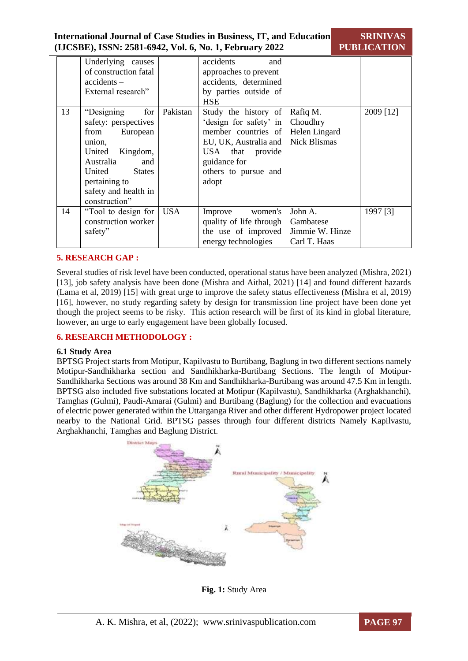|                       | <b>International Journal of Case Studies in Business, IT, and Education</b><br>(IJCSBE), ISSN: 2581-6942, Vol. 6, No. 1, February 2022 | <b>SRINIVAS</b><br><b>PUBLICATION</b> |
|-----------------------|----------------------------------------------------------------------------------------------------------------------------------------|---------------------------------------|
| Underlying causes     | and<br>accidents                                                                                                                       |                                       |
| of construction fatal | annroaches to prevent                                                                                                                  |                                       |

|    | $\text{uncor}, \text{m}$ $\text{caos}$<br>of construction fatal<br>$accidents -$<br>External research"                                                                                                 |            | approaches to prevent<br>accidents, determined<br>by parties outside of<br><b>HSE</b>                                                                               |                                                              |           |
|----|--------------------------------------------------------------------------------------------------------------------------------------------------------------------------------------------------------|------------|---------------------------------------------------------------------------------------------------------------------------------------------------------------------|--------------------------------------------------------------|-----------|
| 13 | for<br>"Designing<br>safety: perspectives<br>European<br>from<br>union.<br>Kingdom,<br>United<br>Australia<br>and<br>United<br><b>States</b><br>pertaining to<br>safety and health in<br>construction" | Pakistan   | Study the history of<br>'design for safety' in<br>member countries of<br>EU, UK, Australia and<br>USA that provide<br>guidance for<br>others to pursue and<br>adopt | Rafiq M.<br>Choudhry<br>Helen Lingard<br><b>Nick Blismas</b> | 2009 [12] |
| 14 | "Tool to design for<br>construction worker<br>safety"                                                                                                                                                  | <b>USA</b> | women's<br>Improve<br>quality of life through<br>the use of improved<br>energy technologies                                                                         | John A.<br>Gambatese<br>Jimmie W. Hinze<br>Carl T. Haas      | 1997 [3]  |

# **5. RESEARCH GAP :**

Several studies of risk level have been conducted, operational status have been analyzed (Mishra, 2021) [13], job safety analysis have been done (Mishra and Aithal, 2021) [14] and found different hazards (Lama et al, 2019) [15] with great urge to improve the safety status effectiveness (Mishra et al, 2019) [16], however, no study regarding safety by design for transmission line project have been done yet though the project seems to be risky. This action research will be first of its kind in global literature, however, an urge to early engagement have been globally focused.

#### **6. RESEARCH METHODOLOGY :**

#### **6.1 Study Area**

BPTSG Project starts from Motipur, Kapilvastu to Burtibang, Baglung in two different sections namely Motipur-Sandhikharka section and Sandhikharka-Burtibang Sections. The length of Motipur-Sandhikharka Sections was around 38 Km and Sandhikharka-Burtibang was around 47.5 Km in length. BPTSG also included five substations located at Motipur (Kapilvastu), Sandhikharka (Arghakhanchi), Tamghas (Gulmi), Paudi-Amarai (Gulmi) and Burtibang (Baglung) for the collection and evacuations of electric power generated within the Uttarganga River and other different Hydropower project located nearby to the National Grid. BPTSG passes through four different districts Namely Kapilvastu, Arghakhanchi, Tamghas and Baglung District.



**Fig. 1:** Study Area

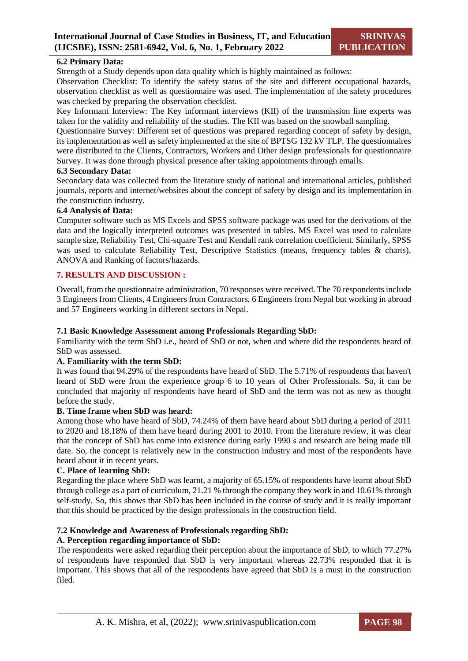### **6.2 Primary Data:**

Strength of a Study depends upon data quality which is highly maintained as follows:

Observation Checklist: To identify the safety status of the site and different occupational hazards, observation checklist as well as questionnaire was used. The implementation of the safety procedures was checked by preparing the observation checklist.

Key Informant Interview: The Key informant interviews (KII) of the transmission line experts was taken for the validity and reliability of the studies. The KII was based on the snowball sampling.

Questionnaire Survey: Different set of questions was prepared regarding concept of safety by design, its implementation as well as safety implemented at the site of BPTSG 132 kV TLP. The questionnaires were distributed to the Clients, Contractors, Workers and Other design professionals for questionnaire Survey. It was done through physical presence after taking appointments through emails.

#### **6.3 Secondary Data:**

Secondary data was collected from the literature study of national and international articles, published journals, reports and internet/websites about the concept of safety by design and its implementation in the construction industry.

#### **6.4 Analysis of Data:**

Computer software such as MS Excels and SPSS software package was used for the derivations of the data and the logically interpreted outcomes was presented in tables. MS Excel was used to calculate sample size, Reliability Test, Chi-square Test and Kendall rank correlation coefficient. Similarly, SPSS was used to calculate Reliability Test, Descriptive Statistics (means, frequency tables & charts), ANOVA and Ranking of factors/hazards.

#### **7. RESULTS AND DISCUSSION :**

Overall, from the questionnaire administration, 70 responses were received. The 70 respondents include 3 Engineers from Clients, 4 Engineers from Contractors, 6 Engineers from Nepal but working in abroad and 57 Engineers working in different sectors in Nepal.

#### **7.1 Basic Knowledge Assessment among Professionals Regarding SbD:**

Familiarity with the term SbD i.e., heard of SbD or not, when and where did the respondents heard of SbD was assessed.

#### **A. Familiarity with the term SbD:**

It was found that 94.29% of the respondents have heard of SbD. The 5.71% of respondents that haven't heard of SbD were from the experience group 6 to 10 years of Other Professionals. So, it can be concluded that majority of respondents have heard of SbD and the term was not as new as thought before the study.

#### **B. Time frame when SbD was heard:**

Among those who have heard of SbD, 74.24% of them have heard about SbD during a period of 2011 to 2020 and 18.18% of them have heard during 2001 to 2010. From the literature review, it was clear that the concept of SbD has come into existence during early 1990 s and research are being made till date. So, the concept is relatively new in the construction industry and most of the respondents have heard about it in recent years.

### **C. Place of learning SbD:**

Regarding the place where SbD was learnt, a majority of 65.15% of respondents have learnt about SbD through college as a part of curriculum, 21.21 % through the company they work in and 10.61% through self-study. So, this shows that SbD has been included in the course of study and it is really important that this should be practiced by the design professionals in the construction field.

#### **7.2 Knowledge and Awareness of Professionals regarding SbD:**

#### **A. Perception regarding importance of SbD:**

The respondents were asked regarding their perception about the importance of SbD, to which 77.27% of respondents have responded that SbD is very important whereas 22.73% responded that it is important. This shows that all of the respondents have agreed that SbD is a must in the construction filed.

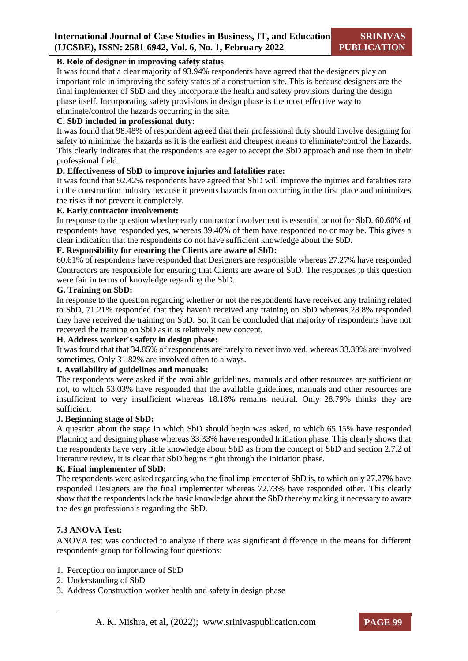#### **B. Role of designer in improving safety status**

It was found that a clear majority of 93.94% respondents have agreed that the designers play an important role in improving the safety status of a construction site. This is because designers are the final implementer of SbD and they incorporate the health and safety provisions during the design phase itself. Incorporating safety provisions in design phase is the most effective way to eliminate/control the hazards occurring in the site.

#### **C. SbD included in professional duty:**

It was found that 98.48% of respondent agreed that their professional duty should involve designing for safety to minimize the hazards as it is the earliest and cheapest means to eliminate/control the hazards. This clearly indicates that the respondents are eager to accept the SbD approach and use them in their professional field.

#### **D. Effectiveness of SbD to improve injuries and fatalities rate:**

It was found that 92.42% respondents have agreed that SbD will improve the injuries and fatalities rate in the construction industry because it prevents hazards from occurring in the first place and minimizes the risks if not prevent it completely.

#### **E. Early contractor involvement:**

In response to the question whether early contractor involvement is essential or not for SbD, 60.60% of respondents have responded yes, whereas 39.40% of them have responded no or may be. This gives a clear indication that the respondents do not have sufficient knowledge about the SbD.

#### **F. Responsibility for ensuring the Clients are aware of SbD:**

60.61% of respondents have responded that Designers are responsible whereas 27.27% have responded Contractors are responsible for ensuring that Clients are aware of SbD. The responses to this question were fair in terms of knowledge regarding the SbD.

#### **G. Training on SbD:**

In response to the question regarding whether or not the respondents have received any training related to SbD, 71.21% responded that they haven't received any training on SbD whereas 28.8% responded they have received the training on SbD. So, it can be concluded that majority of respondents have not received the training on SbD as it is relatively new concept.

#### **H. Address worker's safety in design phase:**

It was found that that 34.85% of respondents are rarely to never involved, whereas 33.33% are involved sometimes. Only 31.82% are involved often to always.

#### **I. Availability of guidelines and manuals:**

The respondents were asked if the available guidelines, manuals and other resources are sufficient or not, to which 53.03% have responded that the available guidelines, manuals and other resources are insufficient to very insufficient whereas 18.18% remains neutral. Only 28.79% thinks they are sufficient.

#### **J. Beginning stage of SbD:**

A question about the stage in which SbD should begin was asked, to which 65.15% have responded Planning and designing phase whereas 33.33% have responded Initiation phase. This clearly shows that the respondents have very little knowledge about SbD as from the concept of SbD and section 2.7.2 of literature review, it is clear that SbD begins right through the Initiation phase.

#### **K. Final implementer of SbD:**

The respondents were asked regarding who the final implementer of SbD is, to which only 27.27% have responded Designers are the final implementer whereas 72.73% have responded other. This clearly show that the respondents lack the basic knowledge about the SbD thereby making it necessary to aware the design professionals regarding the SbD.

#### **7.3 ANOVA Test:**

ANOVA test was conducted to analyze if there was significant difference in the means for different respondents group for following four questions:

- 1. Perception on importance of SbD
- 2. Understanding of SbD
- 3. Address Construction worker health and safety in design phase

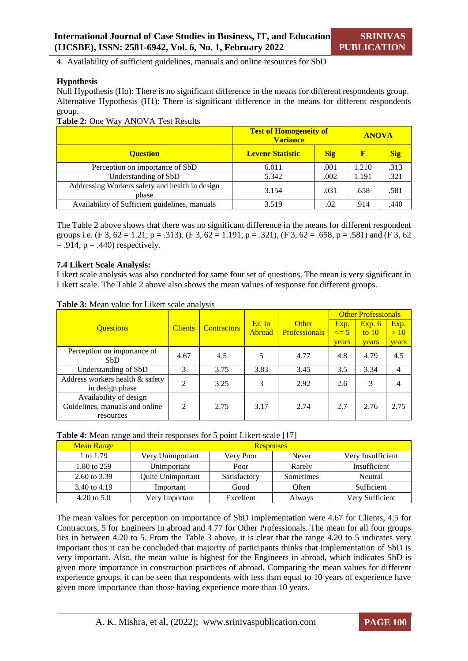4. Availability of sufficient guidelines, manuals and online resources for SbD

#### **Hypothesis**

Null Hypothesis (Ho): There is no significant difference in the means for different respondents group. Alternative Hypothesis (H1): There is significant difference in the means for different respondents group.

#### **Table 2:** One Way ANOVA Test Results

|                                                         | <b>Test of Homogeneity of</b><br><b>Variance</b> | <b>ANOVA</b> |       |            |
|---------------------------------------------------------|--------------------------------------------------|--------------|-------|------------|
| <b>Ouestion</b>                                         | <b>Levene Statistic</b>                          | <b>Sig</b>   | F     | <b>Sig</b> |
| Perception on importance of SbD                         | 6.011                                            | .001         | 1.210 | .313       |
| Understanding of SbD                                    | 5.342                                            | .002         | 1.191 | .321       |
| Addressing Workers safety and health in design<br>phase | 3.154                                            | .031         | .658  | .581       |
| Availability of Sufficient guidelines, manuals          | 3.519                                            | .02          | .914  | 440        |

The Table 2 above shows that there was no significant difference in the means for different respondent groups i.e. (F 3, 62 = 1.21, p = .313), (F 3, 62 = 1.191, p = .321), (F 3, 62 = .658, p = .581) and (F 3, 62  $= .914$ ,  $p = .440$ ) respectively.

#### **7.4 Likert Scale Analysis:**

Likert scale analysis was also conducted for same four set of questions. The mean is very significant in Likert scale. The Table 2 above also shows the mean values of response for different groups.

|                                 |                |                    |               |                      | <b>Other Professionals</b> |              |       |  |
|---------------------------------|----------------|--------------------|---------------|----------------------|----------------------------|--------------|-------|--|
| <b>Ouestions</b>                | <b>Clients</b> | <b>Contractors</b> | Er. In        | <b>Other</b>         | Exp.                       | Exp. 6       | Exp.  |  |
|                                 |                |                    | <b>Abroad</b> | <b>Professionals</b> | $\leq$ 5                   | to $10$      | >10   |  |
|                                 |                |                    |               |                      | years                      | <b>vears</b> | years |  |
| Perception on importance of     | 4.67           | 4.5                | 5             | 4.77                 | 4.8                        | 4.79         | 4.5   |  |
| S <sub>bD</sub>                 |                |                    |               |                      |                            |              |       |  |
| Understanding of SbD            | 3              | 3.75               | 3.83          | 3.45                 | 3.5                        | 3.34         | 4     |  |
| Address workers health & safety | 2              | 3.25               | 3             | 2.92                 | 2.6                        | 3            | 4     |  |
| in design phase                 |                |                    |               |                      |                            |              |       |  |
| Availability of design          |                |                    |               |                      |                            |              |       |  |
| Guidelines, manuals and online  | 2              | 2.75               | 3.17          | 2.74                 | 2.7                        | 2.76         | 2.75  |  |
| resources                       |                |                    |               |                      |                            |              |       |  |

**Table 3:** Mean value for Likert scale analysis

#### **Table 4:** Mean range and their responses for 5 point Likert scale [17]

| <b>Mean Range</b>      |                   | <b>Responses</b> |           |                   |
|------------------------|-------------------|------------------|-----------|-------------------|
| 1 to 1.79              | Very Unimportant  | Very Poor        | Never     | Very Insufficient |
| 1.80 to 259            | Unimportant       | Poor             | Rarely    | Insufficient      |
| 2.60 to 3.39           | Quite Unimportant | Satisfactory     | Sometimes | Neutral           |
| 3.40 to 4.19           | Important         | Good             | Often     | Sufficient        |
| $4.20 \text{ to } 5.0$ | Very Important    | Excellent        | Always    | Very Sufficient   |

The mean values for perception on importance of SbD implementation were 4.67 for Clients, 4.5 for Contractors, 5 for Engineers in abroad and 4.77 for Other Professionals. The mean for all four groups lies in between 4.20 to 5. From the Table 3 above, it is clear that the range 4.20 to 5 indicates very important thus it can be concluded that majority of participants thinks that implementation of SbD is very important. Also, the mean value is highest for the Engineers in abroad, which indicates SbD is given more importance in construction practices of abroad. Comparing the mean values for different experience groups, it can be seen that respondents with less than equal to 10 years of experience have given more importance than those having experience more than 10 years.

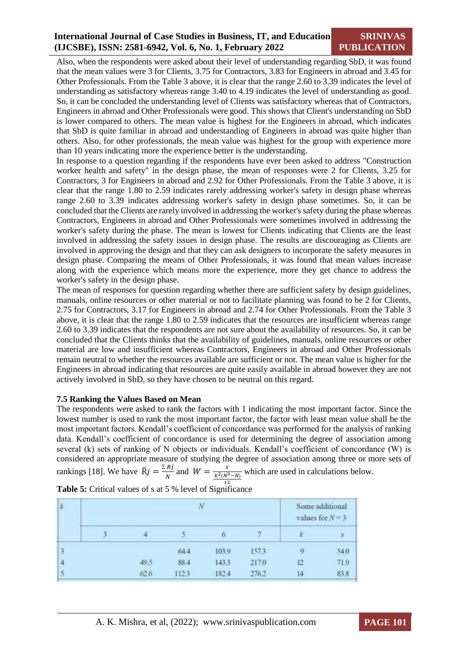# **International Journal of Case Studies in Business, IT, and Education (IJCSBE), ISSN: 2581-6942, Vol. 6, No. 1, February 2022**

# **SRINIVAS PUBLICATION**

Also, when the respondents were asked about their level of understanding regarding SbD, it was found that the mean values were 3 for Clients, 3.75 for Contractors, 3.83 for Engineers in abroad and 3.45 for Other Professionals. From the Table 3 above, it is clear that the range 2.60 to 3.39 indicates the level of understanding as satisfactory whereas range 3.40 to 4.19 indicates the level of understanding as good. So, it can be concluded the understanding level of Clients was satisfactory whereas that of Contractors, Engineers in abroad and Other Professionals were good. This shows that Client's understanding on SbD is lower compared to others. The mean value is highest for the Engineers in abroad, which indicates that SbD is quite familiar in abroad and understanding of Engineers in abroad was quite higher than others. Also, for other professionals, the mean value was highest for the group with experience more than 10 years indicating more the experience better is the understanding.

In response to a question regarding if the respondents have ever been asked to address "Construction worker health and safety" in the design phase, the mean of responses were 2 for Clients, 3.25 for Contractors, 3 for Engineers in abroad and 2.92 for Other Professionals. From the Table 3 above, it is clear that the range 1.80 to 2.59 indicates rarely addressing worker's safety in design phase whereas range 2.60 to 3.39 indicates addressing worker's safety in design phase sometimes. So, it can be concluded that the Clients are rarely involved in addressing the worker's safety during the phase whereas Contractors, Engineers in abroad and Other Professionals were sometimes involved in addressing the worker's safety during the phase. The mean is lowest for Clients indicating that Clients are the least involved in addressing the safety issues in design phase. The results are discouraging as Clients are involved in approving the design and that they can ask designers to incorporate the safety measures in design phase. Comparing the means of Other Professionals, it was found that mean values increase along with the experience which means more the experience, more they get chance to address the worker's safety in the design phase.

The mean of responses for question regarding whether there are sufficient safety by design guidelines, manuals, online resources or other material or not to facilitate planning was found to be 2 for Clients, 2.75 for Contractors, 3.17 for Engineers in abroad and 2.74 for Other Professionals. From the Table 3 above, it is clear that the range 1.80 to 2.59 indicates that the resources are insufficient whereas range 2.60 to 3.39 indicates that the respondents are not sure about the availability of resources. So, it can be concluded that the Clients thinks that the availability of guidelines, manuals, online resources or other material are low and insufficient whereas Contractors, Engineers in abroad and Other Professionals remain neutral to whether the resources available are sufficient or not. The mean value is higher for the Engineers in abroad indicating that resources are quite easily available in abroad however they are not actively involved in SbD, so they have chosen to be neutral on this regard.

#### **7.5 Ranking the Values Based on Mean**

The respondents were asked to rank the factors with 1 indicating the most important factor. Since the lowest number is used to rank the most important factor, the factor with least mean value shall be the most important factors. Kendall's coefficient of concordance was performed for the analysis of ranking data. Kendall's coefficient of concordance is used for determining the degree of association among several (k) sets of ranking of N objects or individuals. Kendall's coefficient of concordance (W) is considered an appropriate measure of studying the degree of association among three or more sets of rankings [18]. We have  $\bar{R}j = \frac{\sum Rj}{N}$  $\frac{Rj}{N}$  and  $W = \frac{s}{k^2(N^2)}$  $k^2(N^3-N)$ which are used in calculations below.

| $\boldsymbol{k}$ | $\overline{N}$ |      |      |       |       | Some additional<br>values for $N = 3$ . |      |
|------------------|----------------|------|------|-------|-------|-----------------------------------------|------|
|                  |                |      |      | o     |       |                                         | ś    |
| $\overline{3}$   |                |      | 64.4 | 103.9 | 157.3 | -9                                      | 54.0 |
| $\frac{4}{3}$    |                | 49.5 | 88.4 | 143.3 | 217.0 |                                         | 719  |
| 5                |                | 62.6 | 1123 | 182.4 | 276.2 | Е                                       | 83.8 |

12 **Table 5:** Critical values of s at 5 % level of Significance

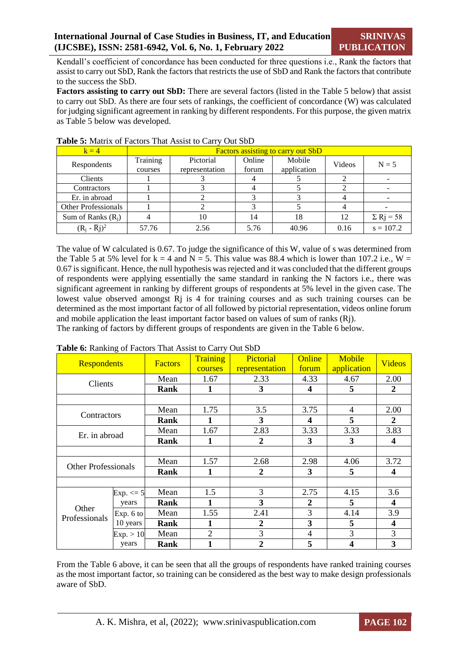Kendall's coefficient of concordance has been conducted for three questions i.e., Rank the factors that assist to carry out SbD, Rank the factors that restricts the use of SbD and Rank the factors that contribute to the success the SbD.

**Factors assisting to carry out SbD:** There are several factors (listed in the Table 5 below) that assist to carry out SbD. As there are four sets of rankings, the coefficient of concordance (W) was calculated for judging significant agreement in ranking by different respondents. For this purpose, the given matrix as Table 5 below was developed.

| $k = 4$                    | <b>Factors assisting to carry out SbD</b> |                |        |             |        |                              |  |  |
|----------------------------|-------------------------------------------|----------------|--------|-------------|--------|------------------------------|--|--|
|                            | Training                                  | Pictorial      | Online | Mobile      | Videos | $N = 5$                      |  |  |
| Respondents                | courses                                   | representation | forum  | application |        |                              |  |  |
| Clients                    |                                           |                |        |             |        |                              |  |  |
| Contractors                |                                           |                |        |             |        |                              |  |  |
| Er. in abroad              |                                           |                |        |             |        |                              |  |  |
| <b>Other Professionals</b> |                                           |                |        |             |        |                              |  |  |
| Sum of Ranks $(R_i)$       |                                           | 10             | 14     | 18          | 12     | $\Sigma$ R <sub>j</sub> = 58 |  |  |
| $(R_i - \overline{R}_i)^2$ | 57.76                                     | 2.56           | 5.76   | 40.96       | 0.16   | $s = 107.2$                  |  |  |

#### **Table 5:** Matrix of Factors That Assist to Carry Out SbD

The value of W calculated is 0.67. To judge the significance of this W, value of s was determined from the Table 5 at 5% level for  $k = 4$  and  $N = 5$ . This value was 88.4 which is lower than 107.2 i.e.,  $W =$ 0.67 is significant. Hence, the null hypothesis was rejected and it was concluded that the different groups of respondents were applying essentially the same standard in ranking the N factors i.e., there was significant agreement in ranking by different groups of respondents at 5% level in the given case. The lowest value observed amongst R<sub>j</sub> is 4 for training courses and as such training courses can be determined as the most important factor of all followed by pictorial representation, videos online forum and mobile application the least important factor based on values of sum of ranks (Rj).

The ranking of factors by different groups of respondents are given in the Table 6 below.

| Respondents                | O             | <b>Factors</b> | Training<br>courses | Pictorial<br>representation | Online<br>forum         | Mobile<br>application | <b>Videos</b>           |
|----------------------------|---------------|----------------|---------------------|-----------------------------|-------------------------|-----------------------|-------------------------|
| Clients                    |               | Mean           | 1.67                | 2.33                        | 4.33                    | 4.67                  | 2.00                    |
|                            |               | Rank           | 1                   | 3                           | $\overline{\mathbf{4}}$ | 5                     | $\mathbf{2}$            |
|                            |               |                |                     |                             |                         |                       |                         |
| Contractors                |               | Mean           | 1.75                | 3.5                         | 3.75                    | 4                     | 2.00                    |
|                            |               | Rank           | 1                   | 3                           | 4                       | 5                     | 2                       |
| Er. in abroad              |               | Mean           | 1.67                | 2.83                        | 3.33                    | 3.33                  | 3.83                    |
|                            |               | Rank           | 1                   | 2                           | 3                       | 3                     | 4                       |
|                            |               |                |                     |                             |                         |                       |                         |
| <b>Other Professionals</b> |               | Mean           | 1.57                | 2.68                        | 2.98                    | 4.06                  | 3.72                    |
|                            |               | Rank           | 1                   | 2                           | 3                       | 5                     | 4                       |
|                            |               |                |                     |                             |                         |                       |                         |
|                            | $Exp. \leq 5$ | Mean           | 1.5                 | 3                           | 2.75                    | 4.15                  | 3.6                     |
|                            | years         | Rank           | 1                   | 3                           | $\overline{2}$          | 5                     | $\overline{\mathbf{4}}$ |
| Other<br>Professionals     | Exp. 6 to     | Mean           | 1.55                | 2.41                        | 3                       | 4.14                  | 3.9                     |
|                            | 10 years      | Rank           | 1                   | 2                           | 3                       | 5                     | 4                       |
|                            | Exp. > 10     | Mean           | $\overline{2}$      | 3                           | 4                       | 3                     | 3                       |
|                            | years         | Rank           | 1                   | 2                           | 5                       | 4                     | 3                       |

**Table 6:** Ranking of Factors That Assist to Carry Out SbD

From the Table 6 above, it can be seen that all the groups of respondents have ranked training courses as the most important factor, so training can be considered as the best way to make design professionals aware of SbD.

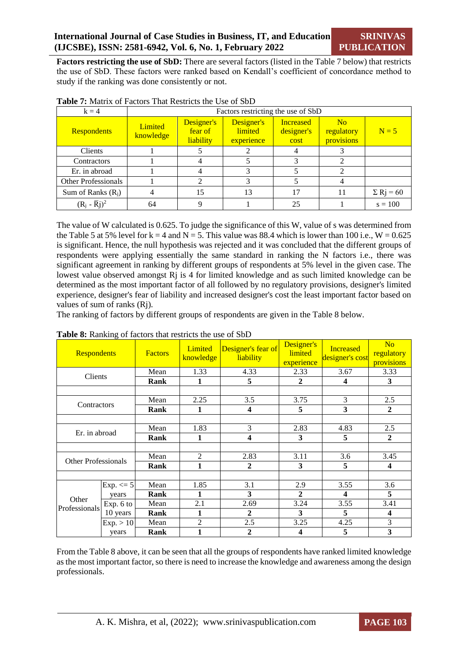**Factors restricting the use of SbD:** There are several factors (listed in the Table 7 below) that restricts the use of SbD. These factors were ranked based on Kendall's coefficient of concordance method to study if the ranking was done consistently or not.

| $k = 4$                    |                      | Factors restricting the use of SbD |                                     |                                        |                                            |                              |  |  |  |
|----------------------------|----------------------|------------------------------------|-------------------------------------|----------------------------------------|--------------------------------------------|------------------------------|--|--|--|
| <b>Respondents</b>         | Limited<br>knowledge | Designer's<br>fear of<br>liability | Designer's<br>limited<br>experience | <b>Increased</b><br>designer's<br>cost | N <sub>o</sub><br>regulatory<br>provisions | $N = 5$                      |  |  |  |
| Clients                    |                      |                                    |                                     | 4                                      |                                            |                              |  |  |  |
| Contractors                |                      |                                    |                                     |                                        |                                            |                              |  |  |  |
| Er. in abroad              |                      |                                    |                                     |                                        |                                            |                              |  |  |  |
| <b>Other Professionals</b> |                      |                                    | 3                                   |                                        |                                            |                              |  |  |  |
| Sum of Ranks $(R_i)$       |                      | 15                                 | 13                                  | 17                                     | 11                                         | $\Sigma$ R <sub>j</sub> = 60 |  |  |  |
| $(R_i - \overline{R}j)^2$  | 64                   | 9                                  |                                     | 25                                     |                                            | $s = 100$                    |  |  |  |

|  |  |  |  | <b>Table 7:</b> Matrix of Factors That Restricts the Use of SbD |
|--|--|--|--|-----------------------------------------------------------------|
|  |  |  |  |                                                                 |

The value of W calculated is 0.625. To judge the significance of this W, value of s was determined from the Table 5 at 5% level for  $k = 4$  and  $N = 5$ . This value was 88.4 which is lower than 100 i.e.,  $W = 0.625$ is significant. Hence, the null hypothesis was rejected and it was concluded that the different groups of respondents were applying essentially the same standard in ranking the N factors i.e., there was significant agreement in ranking by different groups of respondents at 5% level in the given case. The lowest value observed amongst Rj is 4 for limited knowledge and as such limited knowledge can be determined as the most important factor of all followed by no regulatory provisions, designer's limited experience, designer's fear of liability and increased designer's cost the least important factor based on values of sum of ranks (Rj).

The ranking of factors by different groups of respondents are given in the Table 8 below.

|                            | <b>Respondents</b> |      | Designer's fear of<br>Limited<br><b>Factors</b><br>liability<br>knowledge |                         | Designer's<br>limited<br>experience | <b>Increased</b><br>designer's cost | N <sub>o</sub><br>regulatory<br>provisions |
|----------------------------|--------------------|------|---------------------------------------------------------------------------|-------------------------|-------------------------------------|-------------------------------------|--------------------------------------------|
| Clients                    |                    | Mean | 1.33                                                                      | 4.33                    | 2.33                                | 3.67                                | 3.33                                       |
|                            |                    | Rank | 1                                                                         | 5                       | $\mathbf{2}$                        | 4                                   | 3                                          |
|                            |                    |      |                                                                           |                         |                                     |                                     |                                            |
|                            |                    | Mean | 2.25                                                                      | 3.5                     | 3.75                                | 3                                   | 2.5                                        |
| Contractors                |                    | Rank | 1                                                                         | $\overline{\mathbf{4}}$ | 5                                   | 3                                   | $\overline{2}$                             |
|                            |                    |      |                                                                           |                         |                                     |                                     |                                            |
| Er. in abroad              |                    | Mean | 1.83                                                                      | 3                       | 2.83                                | 4.83                                | 2.5                                        |
|                            |                    | Rank | 1                                                                         | 4                       | 3                                   | 5                                   | $\boldsymbol{2}$                           |
|                            |                    |      |                                                                           |                         |                                     |                                     |                                            |
| <b>Other Professionals</b> |                    | Mean | 2                                                                         | 2.83                    | 3.11                                | 3.6                                 | 3.45                                       |
|                            |                    | Rank | 1                                                                         | $\mathbf{2}$            | 3                                   | 5                                   | 4                                          |
|                            |                    |      |                                                                           |                         |                                     |                                     |                                            |
|                            | $Exp. \leq 5$      | Mean | 1.85                                                                      | 3.1                     | 2.9                                 | 3.55                                | 3.6                                        |
|                            | years              | Rank | 1                                                                         | 3                       | $\mathbf{2}$                        | 4                                   | 5                                          |
| Other<br>Professionals     | Exp. 6 to          | Mean | 2.1                                                                       | 2.69                    | 3.24                                | 3.55                                | 3.41                                       |
|                            | 10 years           | Rank | 1                                                                         | $\mathbf{2}$            | 3                                   | 5                                   | 4                                          |
|                            | Exp. > 10          | Mean | $\overline{c}$                                                            | 2.5                     | 3.25                                | 4.25                                | 3                                          |
|                            | years              | Rank | 1                                                                         | $\boldsymbol{2}$        | 4                                   | 5                                   | 3                                          |

**Table 8:** Ranking of factors that restricts the use of SbD

From the Table 8 above, it can be seen that all the groups of respondents have ranked limited knowledge as the most important factor, so there is need to increase the knowledge and awareness among the design professionals.

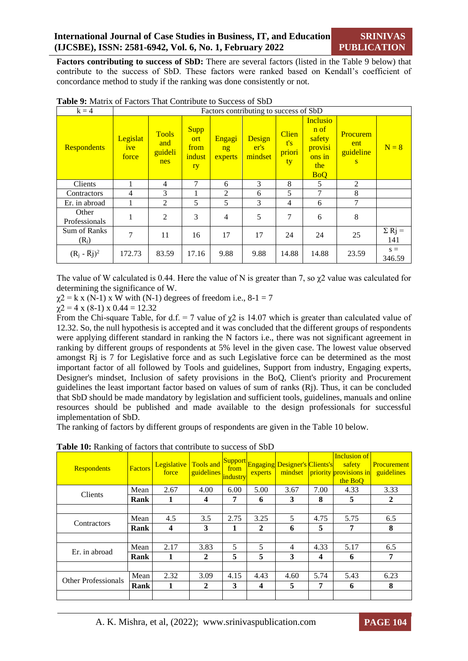**Factors contributing to success of SbD:** There are several factors (listed in the Table 9 below) that contribute to the success of SbD. These factors were ranked based on Kendall's coefficient of concordance method to study if the ranking was done consistently or not.

| $k = 4$                           |                          | Factors contributing to success of SbD |                                            |                         |                           |                                     |                                                                             |                                   |                      |  |  |  |  |
|-----------------------------------|--------------------------|----------------------------------------|--------------------------------------------|-------------------------|---------------------------|-------------------------------------|-----------------------------------------------------------------------------|-----------------------------------|----------------------|--|--|--|--|
| <b>Respondents</b>                | Legislat<br>ive<br>force | <b>Tools</b><br>and<br>guideli<br>nes  | <b>Supp</b><br>ort<br>from<br>indust<br>ry | Engagi<br>ng<br>experts | Design<br>er's<br>mindset | <b>Clien</b><br>t's<br>priori<br>ty | <b>Inclusio</b><br>n of<br>safety<br>provisi<br>ons in<br>the<br><b>BoQ</b> | Procurem<br>ent<br>guideline<br>S | $N = 8$              |  |  |  |  |
| Clients                           |                          | 4                                      | 7                                          | 6                       | 3                         | 8                                   | 5                                                                           | 2                                 |                      |  |  |  |  |
| Contractors                       | $\overline{4}$           | 3                                      |                                            | $\overline{c}$          | 6                         | 5                                   | 7                                                                           | 8                                 |                      |  |  |  |  |
| Er. in abroad                     |                          | 2                                      | 5                                          | 5                       | 3                         | 4                                   | 6                                                                           | 7                                 |                      |  |  |  |  |
| Other<br>Professionals            |                          | $\overline{2}$                         | 3                                          | $\overline{4}$          | 5                         | 7                                   | 6                                                                           | 8                                 |                      |  |  |  |  |
| Sum of Ranks<br>(R <sub>j</sub> ) | 7                        | 11                                     | 16                                         | 17                      | 17                        | 24                                  | 24                                                                          | 25                                | $\Sigma$ Rj =<br>141 |  |  |  |  |
| $(R_i - \overline{R}j)^2$         | 172.73                   | 83.59                                  | 17.16                                      | 9.88                    | 9.88                      | 14.88                               | 14.88                                                                       | 23.59                             | $s =$<br>346.59      |  |  |  |  |

**Table 9:** Matrix of Factors That Contribute to Success of SbD

The value of W calculated is 0.44. Here the value of N is greater than 7, so  $\gamma$ 2 value was calculated for determining the significance of W.

 $\chi$ 2 = k x (N-1) x W with (N-1) degrees of freedom i.e., 8-1 = 7

 $\gamma$ 2 = 4 x (8-1) x 0.44 = 12.32

From the Chi-square Table, for d.f. = 7 value of  $\chi$ 2 is 14.07 which is greater than calculated value of 12.32. So, the null hypothesis is accepted and it was concluded that the different groups of respondents were applying different standard in ranking the N factors i.e., there was not significant agreement in ranking by different groups of respondents at 5% level in the given case. The lowest value observed amongst Rj is 7 for Legislative force and as such Legislative force can be determined as the most important factor of all followed by Tools and guidelines, Support from industry, Engaging experts, Designer's mindset, Inclusion of safety provisions in the BoQ, Client's priority and Procurement guidelines the least important factor based on values of sum of ranks (Rj). Thus, it can be concluded that SbD should be made mandatory by legislation and sufficient tools, guidelines, manuals and online resources should be published and made available to the design professionals for successful implementation of SbD.

The ranking of factors by different groups of respondents are given in the Table 10 below.

| $\circ$<br><b>Respondents</b> | <b>Factors</b> | Legislative<br>force | guidelines industry | from | experts        | Tools and Support Engaging Designer's Clients's<br>mindset |      | <b>Inclusion of</b><br>safety<br>priority provisions in<br>the BoO | Procurement<br>guidelines |
|-------------------------------|----------------|----------------------|---------------------|------|----------------|------------------------------------------------------------|------|--------------------------------------------------------------------|---------------------------|
| <b>Clients</b>                | Mean           | 2.67                 | 4.00                | 6.00 | 5.00           | 3.67                                                       | 7.00 | 4.33                                                               | 3.33                      |
|                               | Rank           | 1                    | 4                   | 7    | 6              | 3                                                          | 8    | 5                                                                  | 2                         |
|                               |                |                      |                     |      |                |                                                            |      |                                                                    |                           |
| Contractors                   | Mean           | 4.5                  | 3.5                 | 2.75 | 3.25           | 5                                                          | 4.75 | 5.75                                                               | 6.5                       |
|                               | Rank           | 4                    | 3                   | 1    | $\overline{2}$ | 6                                                          | 5    | 7                                                                  | 8                         |
|                               |                |                      |                     |      |                |                                                            |      |                                                                    |                           |
| Er. in abroad                 | Mean           | 2.17                 | 3.83                | 5    | 5              | 4                                                          | 4.33 | 5.17                                                               | 6.5                       |
|                               | Rank           | 1                    | $\mathbf{2}$        | 5    | 5              | 3                                                          | 4    | 6                                                                  | 7                         |
|                               |                |                      |                     |      |                |                                                            |      |                                                                    |                           |
| <b>Other Professionals</b>    | Mean           | 2.32                 | 3.09                | 4.15 | 4.43           | 4.60                                                       | 5.74 | 5.43                                                               | 6.23                      |
|                               | Rank           | 1                    | $\overline{2}$      | 3    | 4              | 5                                                          | 7    | 6                                                                  | 8                         |
|                               |                |                      |                     |      |                |                                                            |      |                                                                    |                           |

**Table 10:** Ranking of factors that contribute to success of SbD

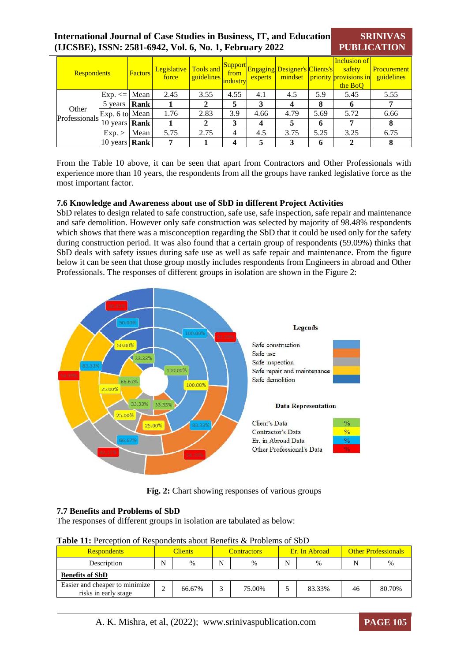#### **International Journal of Case Studies in Business, IT, and Education (IJCSBE), ISSN: 2581-6942, Vol. 6, No. 1, February 2022 SRINIVAS PUBLICATION**

| <b>Respondents</b>     |                      | Factors | Legislative<br>force | Tools and<br>quidelines industry | from | experts | Support Engaging Designer's Clients's |      | Inclusion of<br>safety<br>mindset priority provisions in<br>the BoO | <b>Procurement</b><br>guidelines |
|------------------------|----------------------|---------|----------------------|----------------------------------|------|---------|---------------------------------------|------|---------------------------------------------------------------------|----------------------------------|
|                        | $Exp. \le  Mean $    |         | 2.45                 | 3.55                             | 4.55 | 4.1     | 4.5                                   | 5.9  | 5.45                                                                | 5.55                             |
|                        | 5 years <b>Rank</b>  |         |                      |                                  | 5    | 3       | 4                                     | 8    | O                                                                   |                                  |
| Other<br>Professionals | Exp. 6 to Mean       |         | 1.76                 | 2.83                             | 3.9  | 4.66    | 4.79                                  | 5.69 | 5.72                                                                | 6.66                             |
|                        | 10 years <b>Rank</b> |         |                      | 2                                | 3    | 4       |                                       | 6    | 7                                                                   |                                  |
|                        | Exp.                 | Mean    | 5.75                 | 2.75                             | 4    | 4.5     | 3.75                                  | 5.25 | 3.25                                                                | 6.75                             |
|                        | 10 years <b>Rank</b> |         | 7                    |                                  | 4    | 5       | 3                                     | 6    | 2                                                                   | 8                                |

From the Table 10 above, it can be seen that apart from Contractors and Other Professionals with experience more than 10 years, the respondents from all the groups have ranked legislative force as the most important factor.

#### **7.6 Knowledge and Awareness about use of SbD in different Project Activities**

SbD relates to design related to safe construction, safe use, safe inspection, safe repair and maintenance and safe demolition. However only safe construction was selected by majority of 98.48% respondents which shows that there was a misconception regarding the SbD that it could be used only for the safety during construction period. It was also found that a certain group of respondents (59.09%) thinks that SbD deals with safety issues during safe use as well as safe repair and maintenance. From the figure below it can be seen that those group mostly includes respondents from Engineers in abroad and Other Professionals. The responses of different groups in isolation are shown in the Figure 2:



**Fig. 2:** Chart showing responses of various groups

# **7.7 Benefits and Problems of SbD**

The responses of different groups in isolation are tabulated as below:

|  |  |  |  | Table 11: Perception of Respondents about Benefits & Problems of SbD |  |
|--|--|--|--|----------------------------------------------------------------------|--|
|  |  |  |  |                                                                      |  |

| <b>Respondents</b>                                     |   | <b>Clients</b> |  | <b>Contractors</b> |   | Er. In Abroad | <b>Other Professionals</b> |        |  |  |
|--------------------------------------------------------|---|----------------|--|--------------------|---|---------------|----------------------------|--------|--|--|
| Description                                            |   | $\%$           |  | $\%$               | N | %             |                            | $\%$   |  |  |
| <b>Benefits of SbD</b>                                 |   |                |  |                    |   |               |                            |        |  |  |
| Easier and cheaper to minimize<br>risks in early stage | ⌒ | 66.67%         |  | 75.00%             |   | 83.33%        | 46                         | 80.70% |  |  |

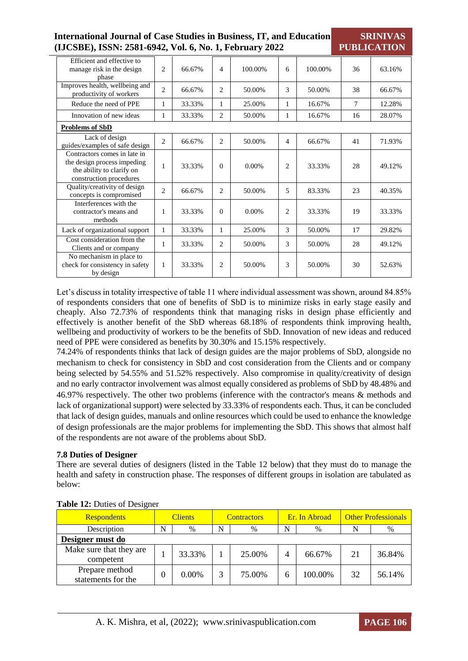| <b>International Journal of Case Studies in Business, IT, and Education</b> |
|-----------------------------------------------------------------------------|
| (IJCSBE), ISSN: 2581-6942, Vol. 6, No. 1, February 2022                     |

**SRINIVAS PUBLICATION**

| Efficient and effective to<br>manage risk in the design<br>phase                                                    | 2              | 66.67% | $\overline{4}$ | 100.00% | 6 | 100.00% | 36 | 63.16% |
|---------------------------------------------------------------------------------------------------------------------|----------------|--------|----------------|---------|---|---------|----|--------|
| Improves health, wellbeing and<br>productivity of workers                                                           | $\overline{c}$ | 66.67% | $\overline{c}$ | 50.00%  | 3 | 50.00%  | 38 | 66.67% |
| Reduce the need of PPE                                                                                              |                | 33.33% | 1              | 25.00%  | 1 | 16.67%  | 7  | 12.28% |
| Innovation of new ideas                                                                                             |                | 33.33% | 2              | 50.00%  | 1 | 16.67%  | 16 | 28.07% |
| <b>Problems of SbD</b>                                                                                              |                |        |                |         |   |         |    |        |
| Lack of design<br>guides/examples of safe design                                                                    | $\overline{c}$ | 66.67% | $\overline{c}$ | 50.00%  | 4 | 66.67%  | 41 | 71.93% |
| Contractors comes in late in<br>the design process impeding<br>the ability to clarify on<br>construction procedures | 1              | 33.33% | $\Omega$       | 0.00%   | 2 | 33.33%  | 28 | 49.12% |
| Quality/creativity of design<br>concepts is compromised                                                             | $\overline{c}$ | 66.67% | 2              | 50.00%  | 5 | 83.33%  | 23 | 40.35% |
| Interferences with the<br>contractor's means and<br>methods                                                         | 1              | 33.33% | $\Omega$       | 0.00%   | 2 | 33.33%  | 19 | 33.33% |
| Lack of organizational support                                                                                      | 1              | 33.33% | 1              | 25.00%  | 3 | 50.00%  | 17 | 29.82% |
| Cost consideration from the<br>Clients and or company                                                               |                | 33.33% | 2              | 50.00%  | 3 | 50.00%  | 28 | 49.12% |
| No mechanism in place to<br>check for consistency in safety<br>by design                                            | 1              | 33.33% | $\overline{c}$ | 50.00%  | 3 | 50.00%  | 30 | 52.63% |

Let's discuss in totality irrespective of table 11 where individual assessment was shown, around 84.85% of respondents considers that one of benefits of SbD is to minimize risks in early stage easily and cheaply. Also 72.73% of respondents think that managing risks in design phase efficiently and effectively is another benefit of the SbD whereas 68.18% of respondents think improving health, wellbeing and productivity of workers to be the benefits of SbD. Innovation of new ideas and reduced need of PPE were considered as benefits by 30.30% and 15.15% respectively.

74.24% of respondents thinks that lack of design guides are the major problems of SbD, alongside no mechanism to check for consistency in SbD and cost consideration from the Clients and or company being selected by 54.55% and 51.52% respectively. Also compromise in quality/creativity of design and no early contractor involvement was almost equally considered as problems of SbD by 48.48% and 46.97% respectively. The other two problems (inference with the contractor's means & methods and lack of organizational support) were selected by 33.33% of respondents each. Thus, it can be concluded that lack of design guides, manuals and online resources which could be used to enhance the knowledge of design professionals are the major problems for implementing the SbD. This shows that almost half of the respondents are not aware of the problems about SbD.

# **7.8 Duties of Designer**

There are several duties of designers (listed in the Table 12 below) that they must do to manage the health and safety in construction phase. The responses of different groups in isolation are tabulated as below:

| <b>Respondents</b>                   | <b>Clients</b> |          |   | <b>Contractors</b> |   | Er. In Abroad | <b>Other Professionals</b> |        |
|--------------------------------------|----------------|----------|---|--------------------|---|---------------|----------------------------|--------|
| Description                          | N              | %        | N | $\%$               | N | $\%$          |                            | %      |
| Designer must do                     |                |          |   |                    |   |               |                            |        |
| Make sure that they are<br>competent |                | 33.33%   |   | 25.00%             |   | 66.67%        | 21                         | 36.84% |
| Prepare method<br>statements for the |                | $0.00\%$ | 2 | 75.00%             | h | 100.00%       | 32                         | 56.14% |

#### **Table 12:** Duties of Designer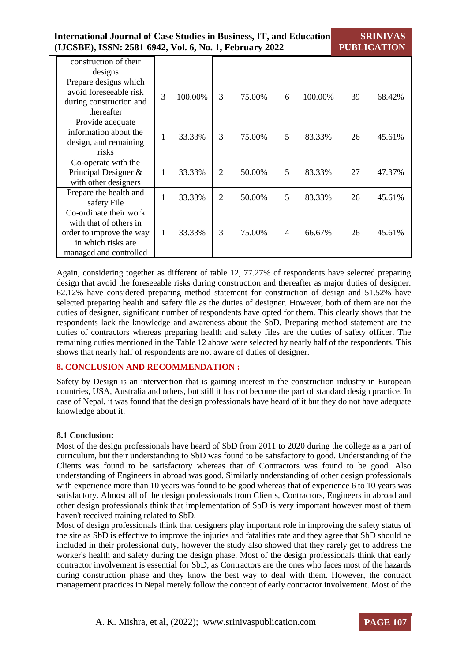**International Journal of Case Studies in Business, IT, and Education (IJCSBE), ISSN: 2581-6942, Vol. 6, No. 1, February 2022 PUBLICATION**

**SRINIVAS** 

| construction of their<br>designs                                                                                             |   |         |   |        |   |         |    |        |
|------------------------------------------------------------------------------------------------------------------------------|---|---------|---|--------|---|---------|----|--------|
| Prepare designs which<br>avoid foreseeable risk<br>during construction and<br>thereafter                                     | 3 | 100.00% | 3 | 75.00% | 6 | 100.00% | 39 | 68.42% |
| Provide adequate<br>information about the<br>design, and remaining<br>risks                                                  |   | 33.33%  | 3 | 75.00% | 5 | 83.33%  | 26 | 45.61% |
| Co-operate with the<br>Principal Designer &<br>with other designers                                                          | 1 | 33.33%  | 2 | 50.00% | 5 | 83.33%  | 27 | 47.37% |
| Prepare the health and<br>safety File                                                                                        |   | 33.33%  | 2 | 50.00% | 5 | 83.33%  | 26 | 45.61% |
| Co-ordinate their work<br>with that of others in<br>order to improve the way<br>in which risks are<br>managed and controlled | 1 | 33.33%  | 3 | 75.00% | 4 | 66.67%  | 26 | 45.61% |

Again, considering together as different of table 12, 77.27% of respondents have selected preparing design that avoid the foreseeable risks during construction and thereafter as major duties of designer. 62.12% have considered preparing method statement for construction of design and 51.52% have selected preparing health and safety file as the duties of designer. However, both of them are not the duties of designer, significant number of respondents have opted for them. This clearly shows that the respondents lack the knowledge and awareness about the SbD. Preparing method statement are the duties of contractors whereas preparing health and safety files are the duties of safety officer. The remaining duties mentioned in the Table 12 above were selected by nearly half of the respondents. This shows that nearly half of respondents are not aware of duties of designer.

# **8. CONCLUSION AND RECOMMENDATION :**

Safety by Design is an intervention that is gaining interest in the construction industry in European countries, USA, Australia and others, but still it has not become the part of standard design practice. In case of Nepal, it was found that the design professionals have heard of it but they do not have adequate knowledge about it.

# **8.1 Conclusion:**

Most of the design professionals have heard of SbD from 2011 to 2020 during the college as a part of curriculum, but their understanding to SbD was found to be satisfactory to good. Understanding of the Clients was found to be satisfactory whereas that of Contractors was found to be good. Also understanding of Engineers in abroad was good. Similarly understanding of other design professionals with experience more than 10 years was found to be good whereas that of experience 6 to 10 years was satisfactory. Almost all of the design professionals from Clients, Contractors, Engineers in abroad and other design professionals think that implementation of SbD is very important however most of them haven't received training related to SbD.

Most of design professionals think that designers play important role in improving the safety status of the site as SbD is effective to improve the injuries and fatalities rate and they agree that SbD should be included in their professional duty, however the study also showed that they rarely get to address the worker's health and safety during the design phase. Most of the design professionals think that early contractor involvement is essential for SbD, as Contractors are the ones who faces most of the hazards during construction phase and they know the best way to deal with them. However, the contract management practices in Nepal merely follow the concept of early contractor involvement. Most of the

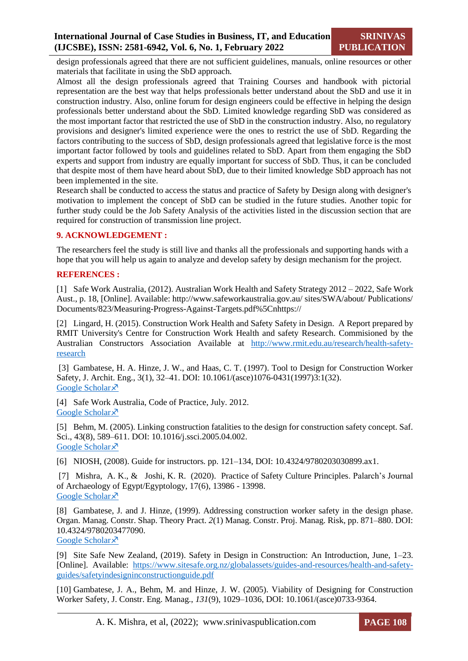design professionals agreed that there are not sufficient guidelines, manuals, online resources or other materials that facilitate in using the SbD approach.

Almost all the design professionals agreed that Training Courses and handbook with pictorial representation are the best way that helps professionals better understand about the SbD and use it in construction industry. Also, online forum for design engineers could be effective in helping the design professionals better understand about the SbD. Limited knowledge regarding SbD was considered as the most important factor that restricted the use of SbD in the construction industry. Also, no regulatory provisions and designer's limited experience were the ones to restrict the use of SbD. Regarding the factors contributing to the success of SbD, design professionals agreed that legislative force is the most important factor followed by tools and guidelines related to SbD. Apart from them engaging the SbD experts and support from industry are equally important for success of SbD. Thus, it can be concluded that despite most of them have heard about SbD, due to their limited knowledge SbD approach has not been implemented in the site.

Research shall be conducted to access the status and practice of Safety by Design along with designer's motivation to implement the concept of SbD can be studied in the future studies. Another topic for further study could be the Job Safety Analysis of the activities listed in the discussion section that are required for construction of transmission line project.

#### **9. ACKNOWLEDGEMENT :**

The researchers feel the study is still live and thanks all the professionals and supporting hands with a hope that you will help us again to analyze and develop safety by design mechanism for the project.

#### **REFERENCES :**

[1] Safe Work Australia, (2012). Australian Work Health and Safety Strategy 2012 – 2022, Safe Work Aust., p. 18, [Online]. Available: http://www.safeworkaustralia.gov.au/ sites/SWA/about/ Publications/ Documents/823/Measuring-Progress-Against-Targets.pdf%5Cnhttps://

[2] Lingard, H. (2015). Construction Work Health and Safety Safety in Design. A Report prepared by RMIT University's Centre for Construction Work Health and safety Research. Commisioned by the Australian Constructors Association Available at [http://www.rmit.edu.au/research/health-safety](http://www.rmit.edu.au/research/health-safety-research)[research](http://www.rmit.edu.au/research/health-safety-research)

[3] Gambatese, H. A. Hinze, J. W., and Haas, C. T. (1997). Tool to Design for Construction Worker Safety, J. Archit. Eng., 3(1), 32–41. DOI: 10.1061/(asce)1076-0431(1997)3:1(32). [Google Scholar](https://ascelibrary.org/doi/abs/10.1061/(ASCE)1076-0431(1997)3:1(32)) ×

[4] Safe Work Australia, Code of Practice, July. 2012. [Google Scholar](https://www.alrc.gov.au/wp-content/uploads/2019/08/68.safeworkaustralia.pdf) ×

[5] Behm, M. (2005). Linking construction fatalities to the design for construction safety concept. Saf. Sci., 43(8), 589–611. DOI: 10.1016/j.ssci.2005.04.002. [Google Scholar](https://www.sciencedirect.com/science/article/pii/S0925753505000731) ×

[6] NIOSH, (2008). Guide for instructors. pp. 121–134, DOI: 10.4324/9780203030899.ax1.

[7] Mishra, A. K., & Joshi, K. R. (2020). Practice of Safety Culture Principles. Palarch's Journal of Archaeology of Egypt/Egyptology, 17(6), 13986 - 13998. [Google Scholar](https://www.archives.palarch.nl/index.php/jae/article/view/3983)<sup> $\lambda$ </sup>

[8] Gambatese, J. and J. Hinze, (1999). Addressing construction worker safety in the design phase. Organ. Manag. Constr. Shap. Theory Pract. *2*(1) Manag. Constr. Proj. Manag. Risk, pp. 871–880. DOI: 10.4324/9780203477090.

[Google Scholar](https://www.sciencedirect.com/science/article/pii/S0926580598001095) ×

[9] Site Safe New Zealand, (2019). Safety in Design in Construction: An Introduction, June, 1–23. [Online]. Available: [https://www.sitesafe.org.nz/globalassets/guides-and-resources/health-and-safety](https://www.sitesafe.org.nz/globalassets/guides-and-resources/health-and-safety-guides/safetyindesigninconstructionguide.pdf)[guides/safetyindesigninconstructionguide.pdf](https://www.sitesafe.org.nz/globalassets/guides-and-resources/health-and-safety-guides/safetyindesigninconstructionguide.pdf)

[10] Gambatese, J. A., Behm, M. and Hinze, J. W. (2005). Viability of Designing for Construction Worker Safety, J. Constr. Eng. Manag., *131*(9), 1029–1036, DOI: 10.1061/(asce)0733-9364.